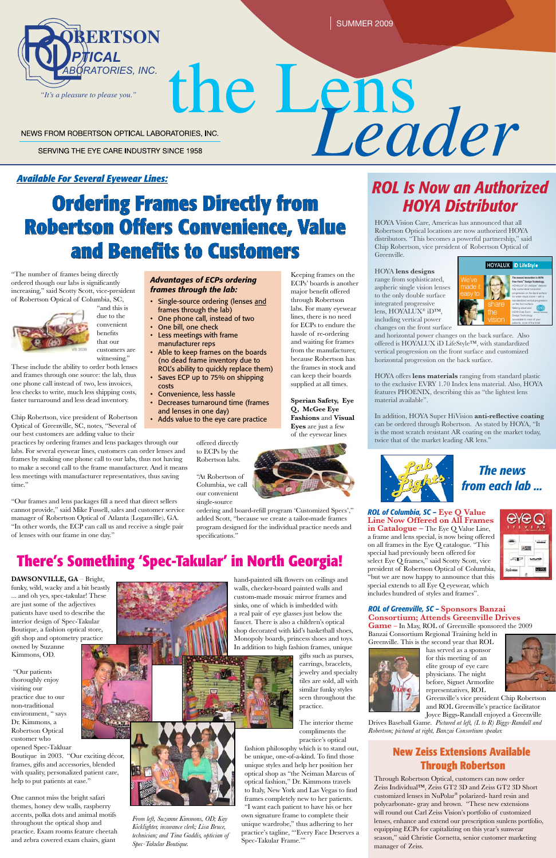SUMMER 2009

SERVING THE EYE CARE INDUSTRY SINCE 1958

## **Ordering Frames Directly from Robertson Offers Convenience, Value and Benefits to Customers**



# the Lens NEWS FROM ROBERTSON OPTICAL LABORATORIES, INC.

## *ROL Is Now an Authorized HOYA Distributor*

hand-painted silk flowers on ceilings and walls, checker-board painted walls and custom-made mosaic mirror frames and sinks, one of which is imbedded with a real pair of eye glasses just below the faucet. There is also a children's optical shop decorated with kid's basketball shoes,

Monopoly boards, princess shoes and toys. In addition to high fashion frames, unique

gifts such as purses, earrings, bracelets, jewelry and specialty tiles are sold, all with similar funky styles seen throughout the practice.

The interior theme compliments the practice's optical

fashion philosophy which is to stand out, be unique, one-of-a-kind. To find those unique styles and help her position her optical shop as "the Neiman Marcus of optical fashion," Dr. Kimmons travels to Italy, New York and Las Vegas to find frames completely new to her patients. "I want each patient to have his or her own signature frame to complete their unique wardrobe," thus adhering to her practice's tagline, "'Every Face Deserves a

Spec-Takular Frame.'"

## **There's Something 'Spec-Takular' in North Georgia!**

**DAWSONVILLE, GA** – Bright, funky, wild, wacky and a bit beastly ... and oh yes, spec-takular! These are just some of the adjectives patients have used to describe the interior design of Spec-Takular Boutique, a fashion optical store,



gift shop and optometry practice owned by Suzanne Kimmons, OD.

 "Our patients thoroughly enjoy visiting our practice due to our non-traditional environment, " says Dr. Kimmons, a Robertson Optical customer who opened Spec-Takluar Boutique in 2003. "Our exciting décor, frames, gifts and accessories, blended with quality, personalized patient care, help to put patients at ease."

One cannot miss the bright safari themes, honey dew walls, raspberry accents, polka dots and animal motifs throughout the optical shop and practice. Exam rooms feature cheetah and zebra covered exam chairs, giant





"The number of frames being directly ordered though our labs is significantly increasing," said Scotty Scott, vice-president of Robertson Optical of Columbia, SC,



"and this is due to the convenient benefits that our customers are

witnessing." These include the ability to order both lenses and frames through one source: the lab, thus one phone call instead of two, less invoices, less checks to write, much less shipping costs, faster turnaround and less dead inventory.

and horizontal power changes on the back surface. Also offered is HOYALUX iD LifeStyle™, with standardized vertical progression on the front surface and customized horizontal progression on the back surface.

Chip Robertson, vice president of Robertson Optical of Greenville, SC, notes, "Several of our best customers are adding value to their

practices by ordering frames and lens packages through our labs. For several eyewear lines, customers can order lenses and frames by making one phone call to our labs, thus not having to make a second call to the frame manufacturer. And it means less meetings with manufacturer representatives, thus saving time."

"Our frames and lens packages fill a need that direct sellers cannot provide," said Mike Fussell, sales and customer service manager of Robertson Optical of Atlanta (Loganville), GA. "In other words, the ECP can call us and receive a single pair of lenses with our frame in one day."

### *Available For Several Eyewear Lines:*

Keeping frames on the ECPs' boards is another major benefit offered through Robertson labs. For many eyewear lines, there is no need for ECPs to endure the hassle of re-ordering and waiting for frames from the manufacturer, because Robertson has



the frames in stock and can keep their boards supplied at all times. **Sperian Safety, Eye Q, McGee Eye** 

**Fashions** and **Visual Eyes** are just a few of the eyewear lines

offered directly to ECPs by the Robertson labs.

"At Robertson of Columbia, we call our convenient single-source

ordering and board-refill program 'Customized Specs'," added Scott, "because we create a tailor-made frames program designed for the individual practice needs and specifications."

#### *Advantages of ECPs ordering frames through the lab:*

- Single-source ordering (lenses and frames through the lab)
- • One phone call, instead of two
- One bill, one check • Less meetings with frame
- manufacturer reps
- • Able to keep frames on the boards (no dead frame inventory due to ROL's ability to quickly replace them)
- Saves ECP up to 75% on shipping costs
- • Convenience, less hassle
- Decreases turnaround time (frames and lenses in one day)
- Adds value to the eye care practice

*From left, Suzanne Kimmons, OD; Kay Kicklighter, insurance clerk; Lisa Bruce, technician; and Tina Gaddis, optician of Spec-Takular Boutique.*

HOYA Vision Care, Americas has announced that all Robertson Optical locations are now authorized HOYA distributors. "This becomes a powerful partnership," said Chip Robertson, vice president of Robertson Optical of Greenville.

HOYA **lens designs** range from sophisticated, aspheric single vision lenses to the only double surface integrated progressive lens, HOYALUX® iD™, including vertical power changes on the front surface

HOYA offers **lens materials** ranging from standard plastic to the exclusive EVRY 1.70 Index lens material. Also, HOYA features PHOENIX, describing this as "the lightest lens material available".

In addition, HOYA Super HiVision **anti-reflective coating** can be ordered through Robertson. As stated by HOYA, "It is the most scratch resistant AR coating on the market today, twice that of the market leading AR lens."



*ROL of Greenville, SC –* **Sponsors Banzai Consortium; Attends Greenville Drives Game –** In May, ROL of Greenville sponsored the 2009

Banzai Consortium Regional Training held in Greenville. This is the second year that ROL



has served as a sponsor for this meeting of an elite group of eye care physicians. The night before, Signet Armorlite representatives, ROL



Greenville's vice president Chip Robertson and ROL Greenville's practice facilitator Joyce Biggs-Randall enjoyed a Greenville

Drives Baseball Game. *Pictured at left, (L to R) Biggs-Randall and Robertson; pictured at right, Banzai Consortium speaker.*

*ROL of Columbia, SC –* **Eye Q Value Line Now Offered on All Frames in Catalogue –** The Eye Q Value Line, a frame and lens special, is now being offered on all frames in the Eye Q catalogue. "This special had previously been offered for select Eye Q frames," said Scotty Scott, vice president of Robertson Optical of Columbia, "but we are now happy to announce that this special extends to all Eye Q eyewear, which includes hundred of styles and frames".



## *The news from each lab ...*

## **New Zeiss Extensions Available Through Robertson**

Through Robertson Optical, customers can now order Zeiss Individual™, Zeiss GT2 3D and Zeiss GT2 3D Short customized lenses in NuPolar® polarized- hard resin and polycarbonate- gray and brown. "These new extensions will round out Carl Zeiss Vision's portfolio of customized lenses, enhance and extend our prescription sunlens portfolio, equipping ECPs for capitalizing on this year's sunwear season," said Christie Cornetta, senior customer marketing manager of Zeiss.